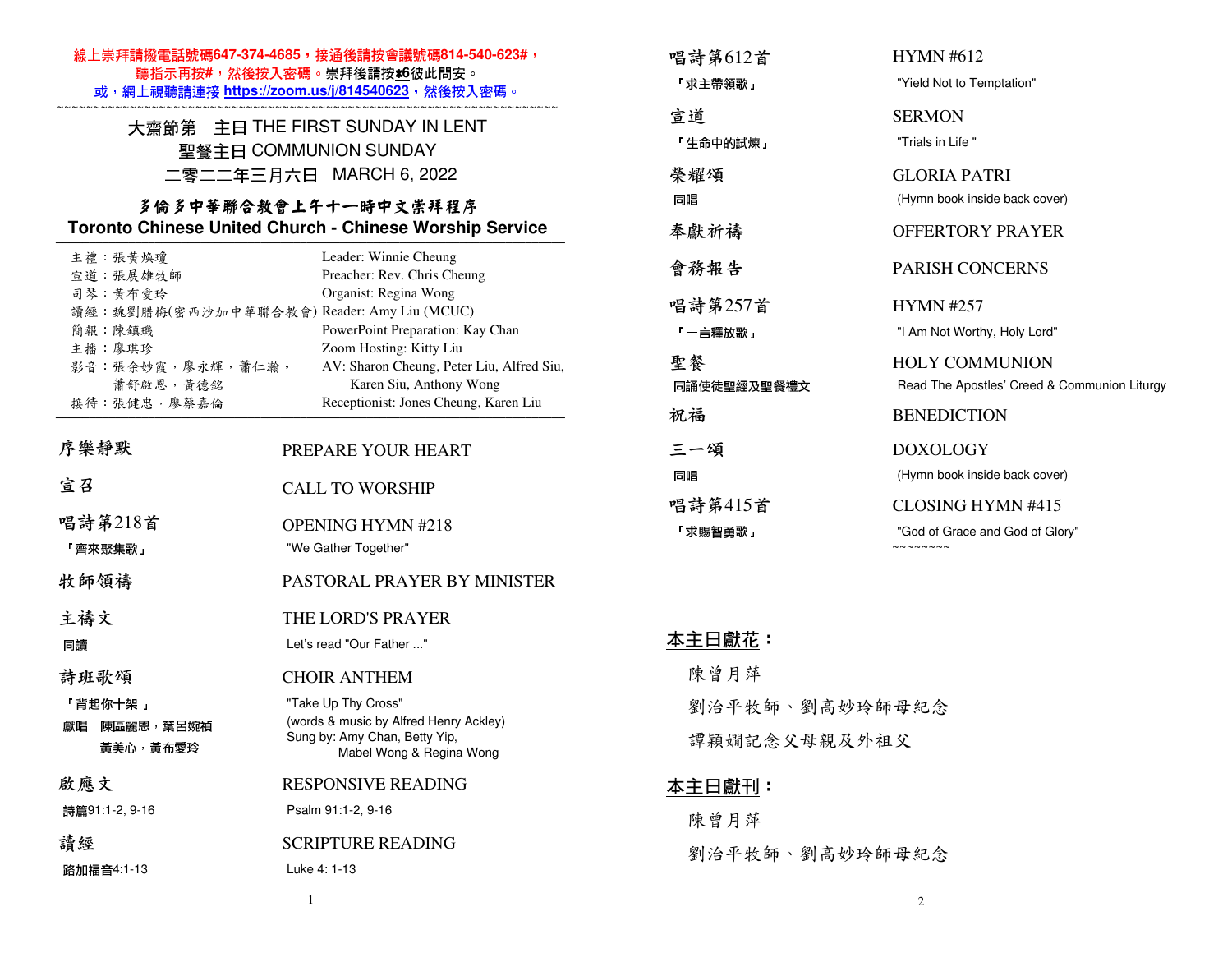| 線上崇拜請撥電話號碼647-374-4685,接通後請按會議號碼814-540-623#,<br>聽指示再按#,然後按入密碼。崇拜後請按±6彼此問安。<br>或,網上視聽請連接 https://zoom.us/j/814540623,然後按入密碼。               |                                                                                                 | 唱詩第612首                        | <b>HYMN #612</b>                                                      |
|--------------------------------------------------------------------------------------------------------------------------------------------|-------------------------------------------------------------------------------------------------|--------------------------------|-----------------------------------------------------------------------|
|                                                                                                                                            |                                                                                                 | 「求主帶領歌」                        | "Yield Not to Temptation"                                             |
| 大齋節第一主日 THE FIRST SUNDAY IN LENT                                                                                                           |                                                                                                 | 宣道                             | <b>SERMON</b>                                                         |
| 聖餐主日 COMMUNION SUNDAY<br>二零二二年三月六日 MARCH 6, 2022<br>多倫多中華聯合教會上午十一時中文崇拜程序<br><b>Toronto Chinese United Church - Chinese Worship Service</b> |                                                                                                 | 「生命中的試煉」                       | "Trials in Life"                                                      |
|                                                                                                                                            |                                                                                                 | 榮耀頌                            | <b>GLORIA PATRI</b>                                                   |
|                                                                                                                                            |                                                                                                 | 同唱                             | (Hymn book inside back cover)                                         |
|                                                                                                                                            |                                                                                                 | 奉獻祈禱                           | <b>OFFERTORY PRAYER</b>                                               |
| 主禮:張黃煥瓊<br>宣道:張展雄牧師                                                                                                                        | Leader: Winnie Cheung<br>Preacher: Rev. Chris Cheung                                            | 會務報告                           | PARISH CONCERNS                                                       |
| 司琴:黄布愛玲                                                                                                                                    | Organist: Regina Wong<br>讀經: 魏劉腊梅(密西沙加中華聯合教會) Reader: Amy Liu (MCUC)                            | 唱詩第257首                        | <b>HYMN #257</b>                                                      |
| 簡報:陳鎮璣                                                                                                                                     | PowerPoint Preparation: Kay Chan                                                                | 「一言釋放歌」                        | "I Am Not Worthy, Holy Lord"                                          |
| 主播:廖琪珍<br>影音:張余妙霞,廖永輝,蕭仁瀚,<br>蕭舒啟恩,黃德銘                                                                                                     | Zoom Hosting: Kitty Liu<br>AV: Sharon Cheung, Peter Liu, Alfred Siu,<br>Karen Siu, Anthony Wong | 聖餐<br>同誦使徒聖經及聖餐禮文              | <b>HOLY COMMUNION</b><br>Read The Apostles' Creed & Communion Liturgy |
| 接待:張健忠,廖蔡嘉倫                                                                                                                                | Receptionist: Jones Cheung, Karen Liu                                                           | 祝福                             | <b>BENEDICTION</b>                                                    |
| 序樂靜默                                                                                                                                       | PREPARE YOUR HEART                                                                              | 三一頌                            | <b>DOXOLOGY</b>                                                       |
| 宣召                                                                                                                                         | <b>CALL TO WORSHIP</b>                                                                          | 同唱                             | (Hymn book inside back cover)                                         |
|                                                                                                                                            |                                                                                                 | 唱詩第415首                        | <b>CLOSING HYMN #415</b>                                              |
| 唱詩第218首                                                                                                                                    | <b>OPENING HYMN #218</b>                                                                        | 「求賜智勇歌」                        | "God of Grace and God of Glory"                                       |
| 「齊來聚集歌」                                                                                                                                    | "We Gather Together"                                                                            |                                | $\sim$ $\sim$ $\sim$ $\sim$ $\sim$ $\sim$ $\sim$                      |
| 牧師領禱                                                                                                                                       | PASTORAL PRAYER BY MINISTER                                                                     |                                |                                                                       |
| 主禱文                                                                                                                                        | THE LORD'S PRAYER                                                                               |                                |                                                                       |
| 同讀                                                                                                                                         | Let's read "Our Father "                                                                        | <u> 本主日獻花</u> :                |                                                                       |
| 詩班歌頌                                                                                                                                       | <b>CHOIR ANTHEM</b>                                                                             | 陳曾月萍                           |                                                                       |
| 「背起你十架」<br>獻唱:陳區麗恩,葉呂婉禎                                                                                                                    | "Take Up Thy Cross"<br>(words & music by Alfred Henry Ackley)                                   | 劉治平牧師、劉高妙玲師母紀念<br>譚穎嫺記念父母親及外祖父 |                                                                       |
| 黃美心,黃布愛玲                                                                                                                                   | Sung by: Amy Chan, Betty Yip,<br>Mabel Wong & Regina Wong                                       |                                |                                                                       |
| 啟應文                                                                                                                                        | <b>RESPONSIVE READING</b>                                                                       | <u> 本主日獻刊</u> :                |                                                                       |
| 詩篇91:1-2, 9-16                                                                                                                             | Psalm 91:1-2, 9-16                                                                              | 陳曾月萍                           |                                                                       |
| 讀經                                                                                                                                         | <b>SCRIPTURE READING</b>                                                                        | 劉治平牧師、劉高妙玲師母紀念                 |                                                                       |
| 路加福音4:1-13                                                                                                                                 | Luke 4: 1-13                                                                                    |                                |                                                                       |
|                                                                                                                                            | $\overline{1}$                                                                                  |                                | $\overline{2}$                                                        |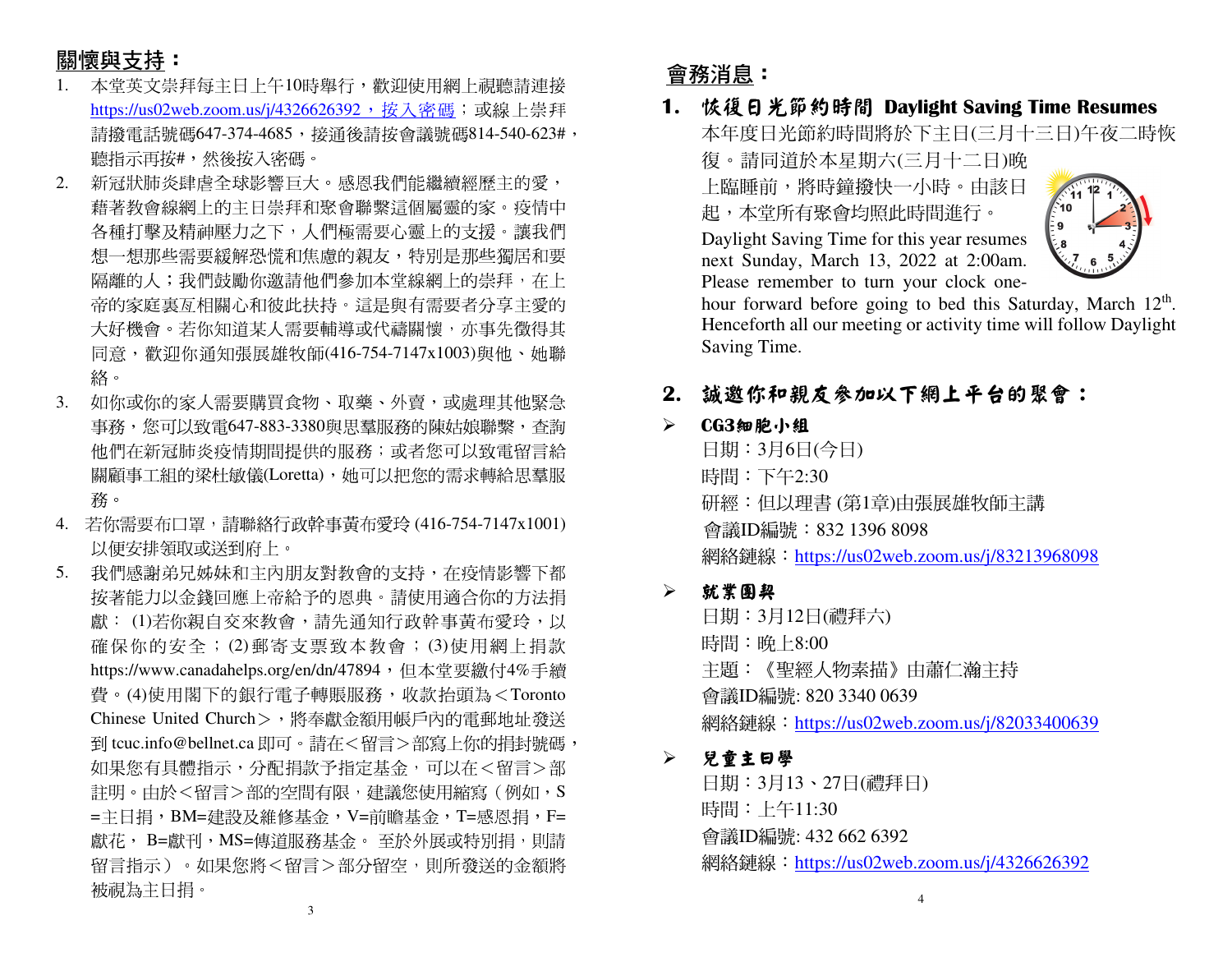# 關懷與支持:

- 本堂英文崇拜每主日上午10時舉行,歡迎使用網上視聽請連接1.<u>https://us02web.zoom.us/j/4326626392,按入密碼</u>;或線上崇拜 請撥電話號碼647-374-4685,接通後請按會議號碼814-540-623#, 聽指示再按#,然後按入密碼。
- 2. 新冠狀肺炎肆虐全球影響巨大。感恩我們能繼續經歷主的愛, 藉著教會線網上的主日崇拜和聚會聯繫這個屬靈的家。疫情中 各種打擊及精神壓力之下,人們極需要心靈上的支援。讓我們想一想那些需要緩解恐慌和焦慮的親友,特別是那些獨居和要 隔離的人;我們鼓勵你邀請他們參加本堂線網上的崇拜,在上 帝的家庭裏亙相關心和彼此扶持。這是與有需要者分享主愛的大好機會。若你知道某人需要輔導或代禱關懷,亦事先徵得其 同意,歡迎你通知張展雄牧師(416-754-7147x1003)與他、她聯 絡。
- 3. 如你或你的家人需要購買食物、取藥、外賣,或處理其他緊急 事務,您可以致電647-883-3380與思羣服務的陳姑娘聯繫,查詢 他們在新冠肺炎疫情期間提供的服務;或者您可以致電留言給 關顧事工組的梁杜敏儀(Loretta),她可以把您的需求轉給思羣服 務。
- 4. 若你需要布口罩,請聯絡行政幹事黃布愛玲 (416-754-7147x1001) 以便安排領取或送到府上。
- 5. 我們感謝弟兄姊妹和主內朋友對教會的支持,在疫情影響下都 按著能力以金錢回應上帝給予的恩典。請使用適合你的方法捐獻: (1)若你親自交來教會,請先通知行政幹事黃布愛玲,以 確保你的安全;(2)郵寄支票致本教會;(3)使用網上捐款<br>http://www.co.edu.late.co./w/w/47904。但大学要继与4%丢绩 https://www.canadahelps.org/en/dn/47894,但本堂要繳付4%手續 費。(4)使用閣下的銀行電子轉賬服務,收款抬頭為<Toronto Chinese United Church>,將奉獻金額用帳戶內的電郵地址發送 到 tcuc.info@bellnet.ca 即可。請在<留言>部寫上你的捐封號碼, 如果您有具體指示,分配捐款予指定基金,可以在<留言>部註明。由於<留言>部的空間有限,建議您使用縮寫(例如,S =主日捐,BM=建設及維修基金,V=前瞻基金,T=感恩捐,F= 獻花, B=獻刊,MS=傳道服務基金。 至於外展或特別捐,則請<br>留言也示、 「想思你咚 <留言 > 双公留空。則兵登送免へ經路 留言指示)。如果您將<留言>部分留空,則所發送的金額將 被視為主日捐。

## 會務消息:

 **1.** 恢復日光節約時間 **Daylight Saving Time Resumes**  本年度日光節約時間將於下主日(三月十三日)午夜二時恢復。請同道於本星期六(三月十二日)晚 上臨睡前,將時鐘撥快一小時。由該日起,本堂所有聚會均照此時間進行。

 Daylight Saving Time for this year resumes next Sunday, March 13, 2022 at 2:00am. Please remember to turn your clock one-



hour forward before going to bed this Saturday, March 12<sup>th</sup>. Henceforth all our meeting or activity time will follow Daylight Saving Time.

### **2.** 誠邀你和親友參加以下網上平台的聚會:

#### $\triangleright$ **CG3**細胞小組

 日期:3月6日(今日) 時間:下午2:30 研經:但以理書 (第1章)由張展雄牧師主講會議ID編號:832 1396 8098 網絡鏈線:https://us02web.zoom.us/j/83213968098

#### $\blacktriangleright$ 就業團契

日期:3月12日(禮拜六) 時間:晚上8:00 主題:《聖經人物素描》由蕭仁瀚主持會議ID編號: 820 3340 0639 網絡鏈線: https://us02web.zoom.us/j/82033400639

#### $\blacktriangleright$ 兒童主日學

日期:3月13、27日(禮拜日) 時間:上午11:30 會議ID編號: 432 662 6392 網絡鏈線:https://us02web.zoom.us/j/4326626392

3